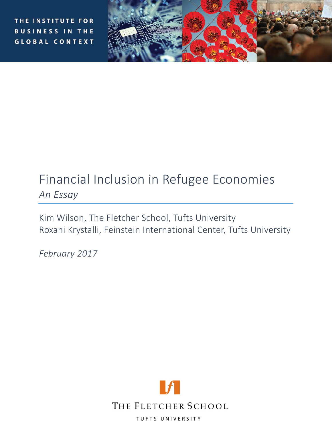THE INSTITUTE FOR **BUSINESS IN THE GLOBAL CONTEXT** 



# Financial Inclusion in Refugee Economies *An Essay*

Kim Wilson, The Fletcher School, Tufts University Roxani Krystalli, Feinstein International Center, Tufts University

*February 2017*

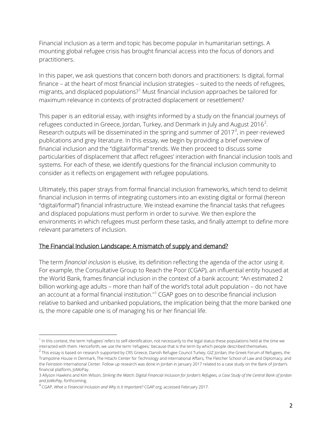Financial inclusion as a term and topic has become popular in humanitarian settings. A mounting global refugee crisis has brought financial access into the focus of donors and practitioners.

In this paper, we ask questions that concern both donors and practitioners: Is digital, formal finance – at the heart of most financial inclusion strategies – suited to the needs of refugees, migrants, and displaced populations?<sup>[1](#page-1-0)</sup> Must financial inclusion approaches be tailored for maximum relevance in contexts of protracted displacement or resettlement?

This paper is an editorial essay, with insights informed by a study on the financial journeys of refugees conducted in Greece, Jordan, Turkey, and Denmark in July and August [2](#page-1-1)016<sup>2</sup>. Research outputs will be disseminated in the spring and summer of 2017 $^3$  $^3$ , in peer-reviewed publications and grey literature. In this essay, we begin by providing a brief overview of financial inclusion and the "digital/formal" trends. We then proceed to discuss some particularities of displacement that affect refugees' interaction with financial inclusion tools and systems. For each of these, we identify questions for the financial inclusion community to consider as it reflects on engagement with refugee populations.

Ultimately, this paper strays from formal financial inclusion frameworks, which tend to delimit financial inclusion in terms of integrating customers into an existing digital or formal (hereon "digital/formal") financial infrastructure. We instead examine the financial tasks that refugees and displaced populations must perform in order to survive. We then explore the environments in which refugees must perform these tasks, and finally attempt to define more relevant parameters of inclusion.

# The Financial Inclusion Landscape: A mismatch of supply and demand?

The term *financial inclusion* is elusive, its definition reflecting the agenda of the actor using it. For example, the Consultative Group to Reach the Poor (CGAP), an influential entity housed at the World Bank, frames financial inclusion in the context of a bank account: "An [estimated 2](http://www.worldbank.org/en/programs/globalfindex)  [billion working-age adults](http://www.worldbank.org/en/programs/globalfindex) – more than half of the world's total adult population – do not have an account at a formal financial institution." [4](#page-1-3) CGAP goes on to describe financial inclusion relative to banked and unbanked populations, the implication being that the more banked one is, the more capable one is of managing his or her financial life.

<span id="page-1-0"></span><sup>&</sup>lt;sup>1</sup> In this context, the term 'refugees' refers to self-identification, not necessarily to the legal status these populations held at the time we interacted with them. Henceforth, we use the term 'refugees,' because that is the term by which people described themselves.

<span id="page-1-1"></span> $^2$  This essay is based on research supported by CRS Greece, Danish Refugee Council Turkey, GIZ Jordan, the Greek Forum of Refugees, the Trampoline House in Denmark, The Hitachi Center for Technology and International Affairs, The Fletcher School of Law and Diplomacy, and the Feinstein International Center. Follow up research was done in Jordan in January 2017 related to a case study on the Bank of Jordan's financial platform, JoMoPay.

<span id="page-1-2"></span><sup>3</sup> Allyson Hawkins and Kim Wilson, *Striking the Match: Digital Financial Inclusion for Jordan's Refugees, a Case Study of the Central Bank of Jordan and JoMoPay*, forthcoming.

<span id="page-1-3"></span><sup>4</sup> CGAP, *What is Financial Inclusion and Why Is It Important?* CGAP.org, accessed February 2017.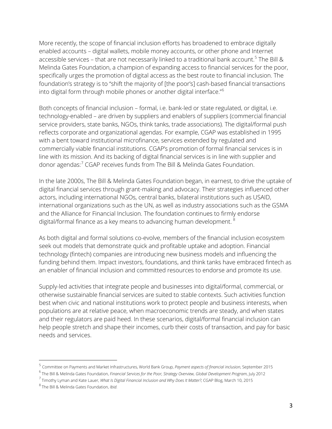More recently, the scope of financial inclusion efforts has broadened to embrace digitally enabled accounts – digital wallets, mobile money accounts, or other phone and Internet accessible services – that are not necessarily linked to a traditional bank account. [5](#page-2-0) The Bill & Melinda Gates Foundation, a champion of expanding access to financial services for the poor, specifically urges the promotion of digital access as the best route to financial inclusion. The foundation's strategy is to "shift the majority of [the poor's] cash-based financial transactions into digital form through mobile phones or another digital interface."[6](#page-2-1)

Both concepts of financial inclusion – formal, i.e. bank-led or state regulated, or digital, i.e. technology-enabled – are driven by suppliers and enablers of suppliers (commercial financial service providers, state banks, NGOs, think tanks, trade associations). The digital/formal push reflects corporate and organizational agendas. For example, CGAP was established in 1995 with a bent toward institutional microfinance, services extended by regulated and commercially viable financial institutions. CGAP's promotion of formal financial services is in line with its mission. And its backing of digital financial services is in line with supplier and donor agendas: [7](#page-2-2) CGAP receives funds from The Bill & Melinda Gates Foundation.

In the late 2000s, The Bill & Melinda Gates Foundation began, in earnest, to drive the uptake of digital financial services through grant-making and advocacy. Their strategies influenced other actors, including international NGOs, central banks, bilateral institutions such as USAID, international organizations such as the UN, as well as industry associations such as the GSMA and the Alliance for Financial Inclusion. The foundation continues to firmly endorse digital/formal finance as a key means to advancing human development.<sup>[8](#page-2-3)</sup>

As both digital and formal solutions co-evolve, members of the financial inclusion ecosystem seek out models that demonstrate quick and profitable uptake and adoption. Financial technology (fintech) companies are introducing new business models and influencing the funding behind them. Impact investors, foundations, and think tanks have embraced fintech as an enabler of financial inclusion and committed resources to endorse and promote its use.

Supply-led activities that integrate people and businesses into digital/formal, commercial, or otherwise sustainable financial services are suited to stable contexts. Such activities function best when civic and national institutions work to protect people and business interests, when populations are at relative peace, when macroeconomic trends are steady, and when states and their regulators are paid heed. In these scenarios, digital/formal financial inclusion can help people stretch and shape their incomes, curb their costs of transaction, and pay for basic needs and services.

<span id="page-2-0"></span><sup>5</sup> Committee on Payments and Market Infrastructures, World Bank Group, *Payment aspects of financial inclusion*, September 2015

<span id="page-2-1"></span><sup>6</sup> The Bill & Melinda Gates Foundation, *Financial Services for the Poor, Strategy Overview, Global Development Program*, July 2012

<span id="page-2-2"></span><sup>7</sup> Timothy Lyman and Kate Lauer, *What Is Digital Financial Inclusion and Why Does It Matter?*, CGAP Blog, March 10, 2015

<span id="page-2-3"></span><sup>8</sup> The Bill & Melinda Gates Foundation, *Ibid.*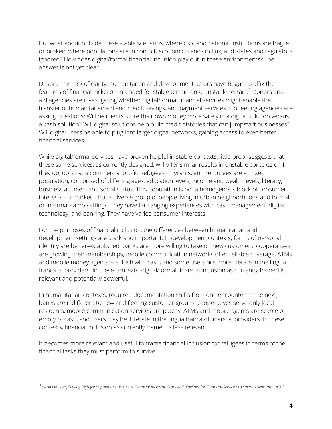But what about outside these stable scenarios, where civic and national institutions are fragile or broken, where populations are in conflict, economic trends in flux, and states and regulators ignored? How does digital/formal financial inclusion play out in these environments? The answer is not yet clear.

Despite this lack of clarity, humanitarian and development actors have begun to affix the features of financial inclusion intended for stable terrain onto unstable terrain. [9](#page-3-0) Donors and aid agencies are investigating whether digital/formal financial services might enable the transfer of humanitarian aid and credit, savings, and payment services. Pioneering agencies are asking questions: Will recipients store their own money more safely in a digital solution versus a cash solution? Will digital solutions help build credit histories that can jumpstart businesses? Will digital users be able to plug into larger digital networks, gaining access to even better financial services?

While digital/formal services have proven helpful in stable contexts, little proof suggests that these same services, as currently designed, will offer similar results in unstable contexts or if they do, do so at a commercial profit. Refugees, migrants, and returnees are a mixed population, comprised of differing ages, education levels, income and wealth levels, literacy, business acumen, and social status. This population is not a homogenous block of consumer interests – a market – but a diverse group of people living in urban neighborhoods and formal or informal camp settings. They have far-ranging experiences with cash management, digital technology, and banking. They have varied consumer interests.

For the purposes of financial inclusion, the differences between humanitarian and development settings are stark and important. In development contexts, forms of personal identity are better-established, banks are more willing to take on new customers, cooperatives are growing their memberships, mobile communication networks offer reliable coverage, ATMs and mobile money agents are flush with cash, and some users are more literate in the lingua franca of providers. In these contexts, digital/formal financial inclusion as currently framed is relevant and potentially powerful.

In humanitarian contexts, required documentation shifts from one encounter to the next, banks are indifferent to new and fleeting customer groups, cooperatives serve only local residents, mobile communication services are patchy, ATMs and mobile agents are scarce or empty of cash, and users may be illiterate in the lingua franca of financial providers. In these contexts, financial inclusion as currently framed is less relevant.

It becomes more relevant and useful to frame financial inclusion for refugees in terms of the financial tasks they must perform to survive.

<span id="page-3-0"></span><sup>9</sup> Lena Hansen, *Serving Refugee Populations: The Next Financial Inclusion Frontier Guidelines for Financial Service Providers*, November, 2016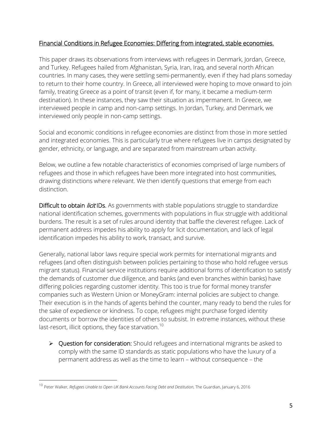### Financial Conditions in Refugee Economies: Differing from integrated, stable economies.

This paper draws its observations from interviews with refugees in Denmark, Jordan, Greece, and Turkey. Refugees hailed from Afghanistan, Syria, Iran, Iraq, and several north African countries. In many cases, they were settling semi-permanently, even if they had plans someday to return to their home country. In Greece, all interviewed were hoping to move onward to join family, treating Greece as a point of transit (even if, for many, it became a medium-term destination). In these instances, they saw their situation as impermanent. In Greece, we interviewed people in camp and non-camp settings. In Jordan, Turkey, and Denmark, we interviewed only people in non-camp settings.

Social and economic conditions in refugee economies are distinct from those in more settled and integrated economies. This is particularly true where refugees live in camps designated by gender, ethnicity, or language, and are separated from mainstream urban activity.

Below, we outline a few notable characteristics of economies comprised of large numbers of refugees and those in which refugees have been more integrated into host communities, drawing distinctions where relevant. We then identify questions that emerge from each distinction.

Difficult to obtain *licit* IDs. As governments with stable populations struggle to standardize national identification schemes, governments with populations in flux struggle with additional burdens. The result is a set of rules around identity that baffle the cleverest refugee. Lack of permanent address impedes his ability to apply for licit documentation, and lack of legal identification impedes his ability to work, transact, and survive.

Generally, national labor laws require special work permits for international migrants and refugees (and often distinguish between policies pertaining to those who hold refugee versus migrant status). Financial service institutions require additional forms of identification to satisfy the demands of customer due diligence, and banks (and even branches within banks) have differing policies regarding customer identity. This too is true for formal money transfer companies such as Western Union or MoneyGram: internal policies are subject to change. Their execution is in the hands of agents behind the counter, many ready to bend the rules for the sake of expedience or kindness. To cope, refugees might purchase forged identity documents or borrow the identities of others to subsist. In extreme instances, without these last-resort, illicit options, they face starvation.<sup>[10](#page-4-0)</sup>

 $\triangleright$  Question for consideration: Should refugees and international migrants be asked to comply with the same ID standards as static populations who have the luxury of a permanent address as well as the time to learn – without consequence – the

<span id="page-4-0"></span><sup>10</sup> Peter Walker, *Refugees Unable to Open UK Bank Accounts Facing Debt and Destitution*, The Guardian, January 6, 2016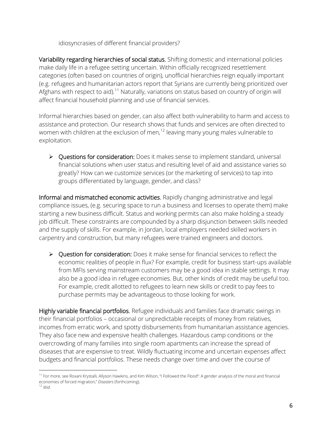idiosyncrasies of different financial providers?

Variability regarding hierarchies of social status. Shifting domestic and international policies make daily life in a refugee setting uncertain. Within officially recognized resettlement categories (often based on countries of origin), unofficial hierarchies reign equally important (e.g. refugees and humanitarian actors report that Syrians are currently being prioritized over Afghans with respect to aid).<sup>[11](#page-5-0)</sup> Naturally, variations on status based on country of origin will affect financial household planning and use of financial services.

Informal hierarchies based on gender, can also affect both vulnerability to harm and access to assistance and protection. Our research shows that funds and services are often directed to women with children at the exclusion of men,<sup>[12](#page-5-1)</sup> leaving many young males vulnerable to exploitation.

▶ Questions for consideration: Does it makes sense to implement standard, universal financial solutions when user status and resulting level of aid and assistance varies so greatly? How can we customize services (or the marketing of services) to tap into groups differentiated by language, gender, and class?

Informal and mismatched economic activities. Rapidly changing administrative and legal compliance issues, (e.g. securing space to run a business and licenses to operate them) make starting a new business difficult. Status and working permits can also make holding a steady job difficult. These constraints are compounded by a sharp disjunction between skills needed and the supply of skills. For example, in Jordan, local employers needed skilled workers in carpentry and construction, but many refugees were trained engineers and doctors.

▶ Question for consideration: Does it make sense for financial services to reflect the economic realities of people in flux? For example, credit for business start-ups available from MFIs serving mainstream customers may be a good idea in stable settings. It may also be a good idea in refugee economies. But, other kinds of credit may be useful too. For example, credit allotted to refugees to learn new skills or credit to pay fees to purchase permits may be advantageous to those looking for work.

Highly variable financial portfolios. Refugee individuals and families face dramatic swings in their financial portfolios – occasional or unpredictable receipts of money from relatives, incomes from erratic work, and spotty disbursements from humanitarian assistance agencies. They also face new and expensive health challenges. Hazardous camp conditions or the overcrowding of many families into single room apartments can increase the spread of diseases that are expensive to treat. Wildly fluctuating income and uncertain expenses affect budgets and financial portfolios. These needs change over time and over the course of

<span id="page-5-0"></span><sup>&</sup>lt;sup>11</sup> For more, see Roxani Krystalli, Allyson Hawkins, and Kim Wilson, "I Followed the Flood": A gender analysis of the moral and financial economies of forced migration," *Disasters* (forthcoming).

<span id="page-5-1"></span> $<sup>2</sup>$  *Ibid.*</sup>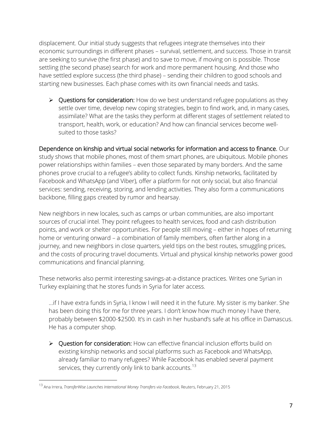displacement. Our initial study suggests that refugees integrate themselves into their economic surroundings in different phases – survival, settlement, and success. Those in transit are seeking to survive (the first phase) and to save to move, if moving on is possible. Those settling (the second phase) search for work and more permanent housing. And those who have settled explore success (the third phase) – sending their children to good schools and starting new businesses. Each phase comes with its own financial needs and tasks.

 $\triangleright$  Questions for consideration: How do we best understand refugee populations as they settle over time, develop new coping strategies, begin to find work, and, in many cases, assimilate? What are the tasks they perform at different stages of settlement related to transport, health, work, or education? And how can financial services become wellsuited to those tasks?

Dependence on kinship and virtual social networks for information and access to finance. Our study shows that mobile phones, most of them smart phones, are ubiquitous. Mobile phones power relationships within families – even those separated by many borders. And the same phones prove crucial to a refugee's ability to collect funds. Kinship networks, facilitated by Facebook and WhatsApp (and Viber), offer a platform for not only social, but also financial services: sending, receiving, storing, and lending activities. They also form a communications backbone, filling gaps created by rumor and hearsay.

New neighbors in new locales, such as camps or urban communities, are also important sources of crucial intel. They point refugees to health services, food and cash distribution points, and work or shelter opportunities. For people still moving – either in hopes of returning home or venturing onward – a combination of family members, often farther along in a journey, and new neighbors in close quarters, yield tips on the best routes, smuggling prices, and the costs of procuring travel documents. Virtual and physical kinship networks power good communications and financial planning.

These networks also permit interesting savings-at-a-distance practices. Writes one Syrian in Turkey explaining that he stores funds in Syria for later access.

…if I have extra funds in Syria, I know I will need it in the future. My sister is my banker. She has been doing this for me for three years. I don't know how much money I have there, probably between \$2000-\$2500. It's in cash in her husband's safe at his office in Damascus. He has a computer shop.

▶ Question for consideration: How can effective financial inclusion efforts build on existing kinship networks and social platforms such as Facebook and WhatsApp, already familiar to many refugees? While Facebook has enabled several payment services, they currently only link to bank accounts.<sup>[13](#page-6-0)</sup>

<span id="page-6-0"></span><sup>13</sup> Ana Irrera, *TransferWise Launches International Money Transfers via Facebook*, Reuters, February 21, 2015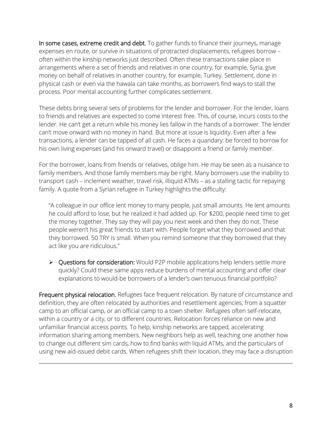In some cases, extreme credit and debt. To gather funds to finance their journeys, manage expenses en route, or survive in situations of protracted displacements, refugees borrow – often within the kinship networks just described. Often these transactions take place in arrangements where a set of friends and relatives in one country, for example, Syria, give money on behalf of relatives in another country, for example, Turkey. Settlement, done in physical cash or even via the hawala can take months, as borrowers find ways to stall the process. Poor mental accounting further complicates settlement.

These debts bring several sets of problems for the lender and borrower. For the lender, loans to friends and relatives are expected to come interest free. This, of course, incurs costs to the lender. He can't get a return while his money lies fallow in the hands of a borrower. The lender can't move onward with no money in hand. But more at issue is liquidity. Even after a few transactions, a lender can be tapped of all cash. He faces a quandary: be forced to borrow for his own living expenses (and his onward travel) or disappoint a friend or family member.

For the borrower, loans from friends or relatives, oblige him. He may be seen as a nuisance to family members. And those family members may be right. Many borrowers use the inability to transport cash – inclement weather, travel risk, illiquid ATMs – as a stalling tactic for repaying family. A quote from a Syrian refugee in Turkey highlights the difficulty:

"A colleague in our office lent money to many people, just small amounts. He lent amounts he could afford to lose, but he realized it had added up. For \$200, people need time to get the money together. They say they will pay you next week and then they do not. These people weren't his great friends to start with. People forget what they borrowed and that they borrowed. 50 TRY is small. When you remind someone that they borrowed that they act like you are ridiculous."

▶ Questions for consideration: Would P2P mobile applications help lenders settle more quickly? Could these same apps reduce burdens of mental accounting and offer clear explanations to would-be borrowers of a lender's own tenuous financial portfolio?

Frequent physical relocation. Refugees face frequent relocation. By nature of circumstance and definition, they are often relocated by authorities and resettlement agencies, from a squatter camp to an official camp, or an official camp to a town shelter. Refugees often self-relocate, within a country or a city, or to different countries. Relocation forces reliance on new and unfamiliar financial access points. To help, kinship networks are tapped, accelerating information sharing among members. New neighbors help as well, teaching one another how to change out different sim cards, how to find banks with liquid ATMs, and the particulars of using new aid-issued debit cards. When refugees shift their location, they may face a disruption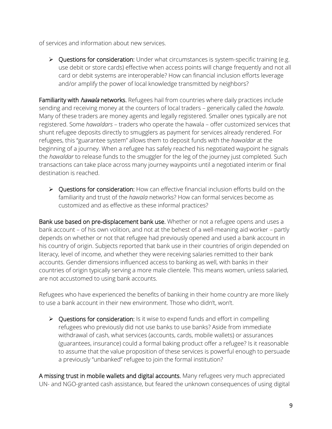of services and information about new services.

▶ Questions for consideration: Under what circumstances is system-specific training (e.g. use debit or store cards) effective when access points will change frequently and not all card or debit systems are interoperable? How can financial inclusion efforts leverage and/or amplify the power of local knowledge transmitted by neighbors?

Familiarity with *hawala* networks. Refugees hail from countries where daily practices include sending and receiving money at the counters of local traders – generically called the *hawala*. Many of these traders are money agents and legally registered. Smaller ones typically are not registered. Some *hawaldars* – traders who operate the hawala – offer customized services that shunt refugee deposits directly to smugglers as payment for services already rendered. For refugees, this "guarantee system" allows them to deposit funds with the *hawaldar* at the beginning of a journey. When a refugee has safely reached his negotiated waypoint he signals the *hawaldar* to release funds to the smuggler for the leg of the journey just completed. Such transactions can take place across many journey waypoints until a negotiated interim or final destination is reached.

▶ Questions for consideration: How can effective financial inclusion efforts build on the familiarity and trust of the *hawala* networks? How can formal services become as customized and as effective as these informal practices?

Bank use based on pre-displacement bank use. Whether or not a refugee opens and uses a bank account – of his own volition, and not at the behest of a well-meaning aid worker – partly depends on whether or not that refugee had previously opened and used a bank account in his country of origin. Subjects reported that bank use in their countries of origin depended on literacy, level of income, and whether they were receiving salaries remitted to their bank accounts. Gender dimensions influenced access to banking as well, with banks in their countries of origin typically serving a more male clientele. This means women, unless salaried, are not accustomed to using bank accounts.

Refugees who have experienced the benefits of banking in their home country are more likely to use a bank account in their new environment. Those who didn't, won't.

▶ Questions for consideration: Is it wise to expend funds and effort in compelling refugees who previously did not use banks to use banks? Aside from immediate withdrawal of cash, what services (accounts, cards, mobile wallets) or assurances (guarantees, insurance) could a formal baking product offer a refugee? Is it reasonable to assume that the value proposition of these services is powerful enough to persuade a previously "unbanked" refugee to join the formal institution?

A missing trust in mobile wallets and digital accounts. Many refugees very much appreciated UN- and NGO-granted cash assistance, but feared the unknown consequences of using digital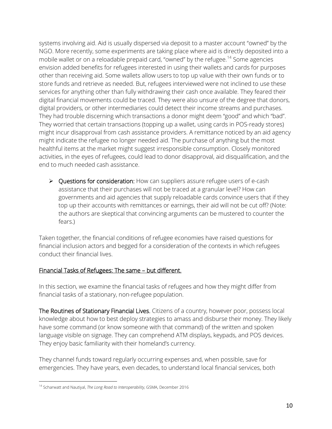systems involving aid. Aid is usually dispersed via deposit to a master account "owned" by the NGO. More recently, some experiments are taking place where aid is directly deposited into a mobile wallet or on a reloadable prepaid card, "owned" by the refugee.<sup>[14](#page-9-0)</sup> Some agencies envision added benefits for refugees interested in using their wallets and cards for purposes other than receiving aid. Some wallets allow users to top up value with their own funds or to store funds and retrieve as needed. But, refugees interviewed were not inclined to use these services for anything other than fully withdrawing their cash once available. They feared their digital financial movements could be traced. They were also unsure of the degree that donors, digital providers, or other intermediaries could detect their income streams and purchases. They had trouble discerning which transactions a donor might deem "good" and which "bad". They worried that certain transactions (topping up a wallet, using cards in POS-ready stores) might incur disapproval from cash assistance providers. A remittance noticed by an aid agency might indicate the refugee no longer needed aid. The purchase of anything but the most healthful items at the market might suggest irresponsible consumption. Closely monitored activities, in the eyes of refugees, could lead to donor disapproval, aid disqualification, and the end to much needed cash assistance.

▶ Questions for consideration: How can suppliers assure refugee users of e-cash assistance that their purchases will not be traced at a granular level? How can governments and aid agencies that supply reloadable cards convince users that if they top up their accounts with remittances or earnings, their aid will not be cut off? (Note: the authors are skeptical that convincing arguments can be mustered to counter the fears.)

Taken together, the financial conditions of refugee economies have raised questions for financial inclusion actors and begged for a consideration of the contexts in which refugees conduct their financial lives.

# Financial Tasks of Refugees: The same – but different.

In this section, we examine the financial tasks of refugees and how they might differ from financial tasks of a stationary, non-refugee population.

The Routines of Stationary Financial Lives. Citizens of a country, however poor, possess local knowledge about how to best deploy strategies to amass and disburse their money. They likely have some command (or know someone with that command) of the written and spoken language visible on signage. They can comprehend ATM displays, keypads, and POS devices. They enjoy basic familiarity with their homeland's currency.

They channel funds toward regularly occurring expenses and, when possible, save for emergencies. They have years, even decades, to understand local financial services, both

<span id="page-9-0"></span> $\overline{a}$ <sup>14</sup> Scharwatt and Nautiyal, *The Long Road to Interoperability*, GSMA, December 2016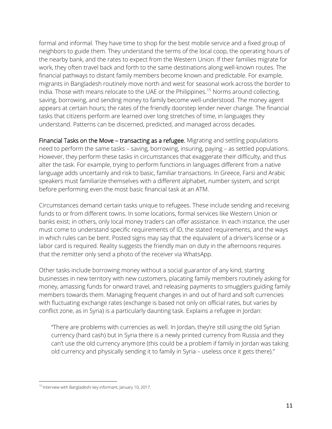formal and informal. They have time to shop for the best mobile service and a fixed group of neighbors to guide them. They understand the terms of the local coop, the operating hours of the nearby bank, and the rates to expect from the Western Union. If their families migrate for work, they often travel back and forth to the same destinations along well-known routes. The financial pathways to distant family members become known and predictable. For example, migrants in Bangladesh routinely move north and west for seasonal work across the border to India. Those with means relocate to the UAE or the Philippines.<sup>[15](#page-10-0)</sup> Norms around collecting, saving, borrowing, and sending money to family become well-understood. The money agent appears at certain hours; the rates of the friendly doorstep lender never change. The financial tasks that citizens perform are learned over long stretches of time, in languages they understand. Patterns can be discerned, predicted, and managed across decades.

Financial Tasks on the Move – transacting as a refugee. Migrating and settling populations need to perform the same tasks – saving, borrowing, insuring, paying – as settled populations. However, they perform these tasks in circumstances that exaggerate their difficulty, and thus alter the task. For example, trying to perform functions in languages different from a native language adds uncertainly and risk to basic, familiar transactions. In Greece, Farsi and Arabic speakers must familiarize themselves with a different alphabet, number system, and script before performing even the most basic financial task at an ATM.

Circumstances demand certain tasks unique to refugees. These include sending and receiving funds to or from different towns. In some locations, formal services like Western Union or banks exist; in others, only local money traders can offer assistance. In each instance, the user must come to understand specific requirements of ID, the stated requirements, and the ways in which rules can be bent. Posted signs may say that the equivalent of a driver's license or a labor card is required. Reality suggests the friendly man on duty in the afternoons requires that the remitter only send a photo of the receiver via WhatsApp.

Other tasks include borrowing money without a social guarantor of any kind, starting businesses in new territory with new customers, placating family members routinely asking for money, amassing funds for onward travel, and releasing payments to smugglers guiding family members towards them. Managing frequent changes in and out of hard and soft currencies with fluctuating exchange rates (exchange is based not only on official rates, but varies by conflict zone, as in Syria) is a particularly daunting task. Explains a refugee in Jordan:

"There are problems with currencies as well. In Jordan, they're still using the old Syrian currency (hard cash) but in Syria there is a newly printed currency from Russia and they can't use the old currency anymore (this could be a problem if family in Jordan was taking old currency and physically sending it to family in Syria – useless once it gets there)."

<span id="page-10-0"></span> $\overline{a}$ <sup>15</sup> Interview with Bangladeshi key informant, January 10, 2017.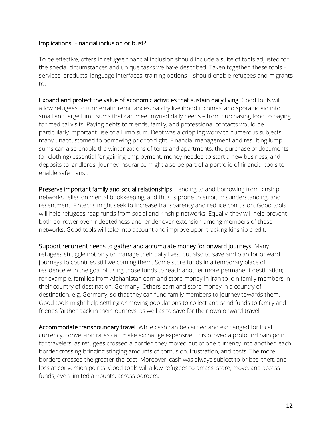### Implications: Financial inclusion or bust?

To be effective, offers in refugee financial inclusion should include a suite of tools adjusted for the special circumstances and unique tasks we have described. Taken together, these tools – services, products, language interfaces, training options – should enable refugees and migrants to:

Expand and protect the value of economic activities that sustain daily living. Good tools will allow refugees to turn erratic remittances, patchy livelihood incomes, and sporadic aid into small and large lump sums that can meet myriad daily needs – from purchasing food to paying for medical visits. Paying debts to friends, family, and professional contacts would be particularly important use of a lump sum. Debt was a crippling worry to numerous subjects, many unaccustomed to borrowing prior to flight. Financial management and resulting lump sums can also enable the winterizations of tents and apartments, the purchase of documents (or clothing) essential for gaining employment, money needed to start a new business, and deposits to landlords. Journey insurance might also be part of a portfolio of financial tools to enable safe transit.

Preserve important family and social relationships. Lending to and borrowing from kinship networks relies on mental bookkeeping, and thus is prone to error, misunderstanding, and resentment. Fintechs might seek to increase transparency and reduce confusion. Good tools will help refugees reap funds from social and kinship networks. Equally, they will help prevent both borrower over-indebtedness and lender over-extension among members of these networks. Good tools will take into account and improve upon tracking kinship credit.

Support recurrent needs to gather and accumulate money for onward journeys. Many refugees struggle not only to manage their daily lives, but also to save and plan for onward journeys to countries still welcoming them. Some store funds in a temporary place of residence with the goal of using those funds to reach another more permanent destination; for example, families from Afghanistan earn and store money in Iran to join family members in their country of destination, Germany. Others earn and store money in a country of destination, e.g. Germany, so that they can fund family members to journey towards them. Good tools might help settling or moving populations to collect and send funds to family and friends farther back in their journeys, as well as to save for their own onward travel.

Accommodate transboundary travel. While cash can be carried and exchanged for local currency, conversion rates can make exchange expensive. This proved a profound pain point for travelers: as refugees crossed a border, they moved out of one currency into another, each border crossing bringing stinging amounts of confusion, frustration, and costs. The more borders crossed the greater the cost. Moreover, cash was always subject to bribes, theft, and loss at conversion points. Good tools will allow refugees to amass, store, move, and access funds, even limited amounts, across borders.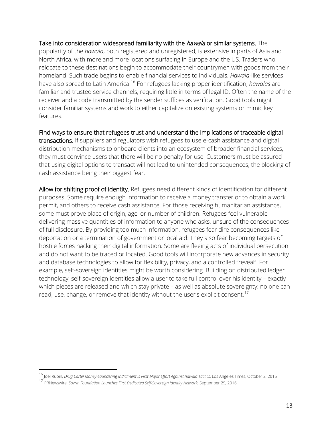Take into consideration widespread familiarity with the *hawala* or similar systems. The popularity of the *hawala*, both registered and unregistered, is extensive in parts of Asia and North Africa, with more and more locations surfacing in Europe and the US. Traders who relocate to these destinations begin to accommodate their countrymen with goods from their homeland. Such trade begins to enable financial services to individuals. *Hawala*-like services have also spread to Latin America.[16](#page-12-0) For refugees lacking proper identification, *hawalas* are familiar and trusted service channels, requiring little in terms of legal ID. Often the name of the receiver and a code transmitted by the sender suffices as verification. Good tools might consider familiar systems and work to either capitalize on existing systems or mimic key features.

Find ways to ensure that refugees trust and understand the implications of traceable digital transactions. If suppliers and regulators wish refugees to use e-cash assistance and digital distribution mechanisms to onboard clients into an ecosystem of broader financial services, they must convince users that there will be no penalty for use. Customers must be assured that using digital options to transact will not lead to unintended consequences, the blocking of cash assistance being their biggest fear.

Allow for shifting proof of identity. Refugees need different kinds of identification for different purposes. Some require enough information to receive a money transfer or to obtain a work permit, and others to receive cash assistance. For those receiving humanitarian assistance, some must prove place of origin, age, or number of children. Refugees feel vulnerable delivering massive quantities of information to anyone who asks, unsure of the consequences of full disclosure. By providing too much information, refugees fear dire consequences like deportation or a termination of government or local aid. They also fear becoming targets of hostile forces hacking their digital information. Some are fleeing acts of individual persecution and do not want to be traced or located. Good tools will incorporate new advances in security and database technologies to allow for flexibility, privacy, and a controlled "reveal". For example, self-sovereign identities might be worth considering. Building on distributed ledger technology, self-sovereign identities allow a user to take full control over his identity – exactly which pieces are released and which stay private – as well as absolute sovereignty: no one can read, use, change, or remove that identity without the user's explicit consent.<sup>[17](#page-12-1)</sup>

<span id="page-12-0"></span><sup>&</sup>lt;sup>16</sup> Joel Rubin, Drug Cartel Money-Laundering Indictment is First Major Effort Against hawala Tactics, Los Angeles Times, October 2, 2015

<span id="page-12-1"></span><sup>17</sup> PRNewswire, *Sovrin Foundation Launches First Dedicated Self-Sovereign Identity Network*, September 29, 2016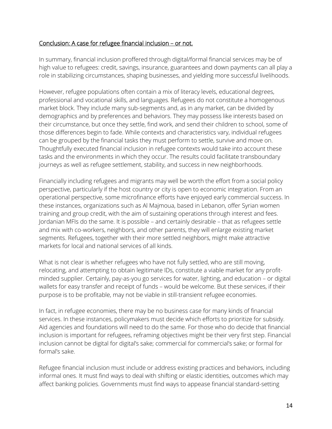#### Conclusion: A case for refugee financial inclusion – or not.

In summary, financial inclusion proffered through digital/formal financial services may be of high value to refugees: credit, savings, insurance, guarantees and down payments can all play a role in stabilizing circumstances, shaping businesses, and yielding more successful livelihoods.

However, refugee populations often contain a mix of literacy levels, educational degrees, professional and vocational skills, and languages. Refugees do not constitute a homogenous market block. They include many sub-segments and, as in any market, can be divided by demographics and by preferences and behaviors. They may possess like interests based on their circumstance, but once they settle, find work, and send their children to school, some of those differences begin to fade. While contexts and characteristics vary, individual refugees can be grouped by the financial tasks they must perform to settle, survive and move on. Thoughtfully executed financial inclusion in refugee contexts would take into account these tasks and the environments in which they occur. The results could facilitate transboundary journeys as well as refugee settlement, stability, and success in new neighborhoods.

Financially including refugees and migrants may well be worth the effort from a social policy perspective, particularly if the host country or city is open to economic integration. From an operational perspective, some microfinance efforts have enjoyed early commercial success. In these instances, organizations such as Al Majmoua, based in Lebanon, offer Syrian women training and group credit, with the aim of sustaining operations through interest and fees. Jordanian MFIs do the same. It is possible – and certainly desirable – that as refugees settle and mix with co-workers, neighbors, and other parents, they will enlarge existing market segments. Refugees, together with their more settled neighbors, might make attractive markets for local and national services of all kinds.

What is not clear is whether refugees who have not fully settled, who are still moving, relocating, and attempting to obtain legitimate IDs, constitute a viable market for any profitminded supplier. Certainly, pay-as-you go services for water, lighting, and education – or digital wallets for easy transfer and receipt of funds – would be welcome. But these services, if their purpose is to be profitable, may not be viable in still-transient refugee economies.

In fact, in refugee economies, there may be no business case for many kinds of financial services. In these instances, policymakers must decide which efforts to prioritize for subsidy. Aid agencies and foundations will need to do the same. For those who do decide that financial inclusion is important for refugees, reframing objectives might be their very first step. Financial inclusion cannot be digital for digital's sake; commercial for commercial's sake; or formal for formal's sake.

Refugee financial inclusion must include or address existing practices and behaviors, including informal ones. It must find ways to deal with shifting or elastic identities, outcomes which may affect banking policies. Governments must find ways to appease financial standard-setting